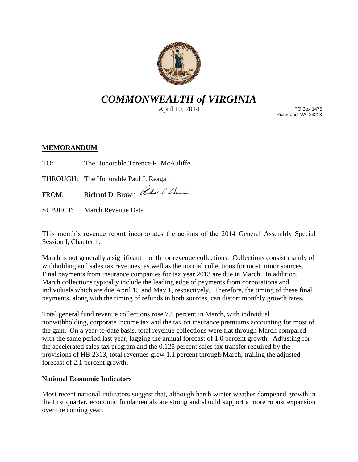

# *COMMONWEALTH of VIRGINIA*

April 10, 2014

PO Box 1475 Richmond, VA. 23218

## **MEMORANDUM**

TO: The Honorable Terence R. McAuliffe

THROUGH: The Honorable Paul J. Reagan

FROM: Richard D. Brown Red & Com

SUBJECT: March Revenue Data

This month's revenue report incorporates the actions of the 2014 General Assembly Special Session I, Chapter 1.

March is not generally a significant month for revenue collections. Collections consist mainly of withholding and sales tax revenues, as well as the normal collections for most minor sources. Final payments from insurance companies for tax year 2013 are due in March. In addition, March collections typically include the leading edge of payments from corporations and individuals which are due April 15 and May 1, respectively. Therefore, the timing of these final payments, along with the timing of refunds in both sources, can distort monthly growth rates.

Total general fund revenue collections rose 7.8 percent in March, with individual nonwithholding, corporate income tax and the tax on insurance premiums accounting for most of the gain. On a year-to-date basis, total revenue collections were flat through March compared with the same period last year, lagging the annual forecast of 1.0 percent growth. Adjusting for the accelerated sales tax program and the 0.125 percent sales tax transfer required by the provisions of HB 2313, total revenues grew 1.1 percent through March, trailing the adjusted forecast of 2.1 percent growth.

## **National Economic Indicators**

Most recent national indicators suggest that, although harsh winter weather dampened growth in the first quarter, economic fundamentals are strong and should support a more robust expansion over the coming year.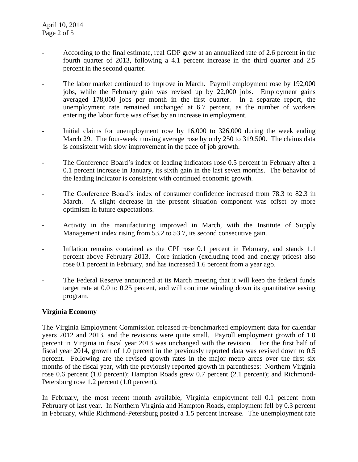- According to the final estimate, real GDP grew at an annualized rate of 2.6 percent in the fourth quarter of 2013, following a 4.1 percent increase in the third quarter and 2.5 percent in the second quarter.
- The labor market continued to improve in March. Payroll employment rose by 192,000 jobs, while the February gain was revised up by 22,000 jobs. Employment gains averaged 178,000 jobs per month in the first quarter. In a separate report, the unemployment rate remained unchanged at 6.7 percent, as the number of workers entering the labor force was offset by an increase in employment.
- Initial claims for unemployment rose by 16,000 to 326,000 during the week ending March 29. The four-week moving average rose by only 250 to 319,500. The claims data is consistent with slow improvement in the pace of job growth.
- The Conference Board's index of leading indicators rose 0.5 percent in February after a 0.1 percent increase in January, its sixth gain in the last seven months. The behavior of the leading indicator is consistent with continued economic growth.
- The Conference Board's index of consumer confidence increased from 78.3 to 82.3 in March. A slight decrease in the present situation component was offset by more optimism in future expectations.
- Activity in the manufacturing improved in March, with the Institute of Supply Management index rising from 53.2 to 53.7, its second consecutive gain.
- Inflation remains contained as the CPI rose 0.1 percent in February, and stands 1.1 percent above February 2013. Core inflation (excluding food and energy prices) also rose 0.1 percent in February, and has increased 1.6 percent from a year ago.
- The Federal Reserve announced at its March meeting that it will keep the federal funds target rate at 0.0 to 0.25 percent, and will continue winding down its quantitative easing program.

### **Virginia Economy**

The Virginia Employment Commission released re-benchmarked employment data for calendar years 2012 and 2013, and the revisions were quite small. Payroll employment growth of 1.0 percent in Virginia in fiscal year 2013 was unchanged with the revision. For the first half of fiscal year 2014, growth of 1.0 percent in the previously reported data was revised down to 0.5 percent. Following are the revised growth rates in the major metro areas over the first six months of the fiscal year, with the previously reported growth in parentheses: Northern Virginia rose 0.6 percent (1.0 percent); Hampton Roads grew 0.7 percent (2.1 percent); and Richmond-Petersburg rose 1.2 percent (1.0 percent).

In February, the most recent month available, Virginia employment fell 0.1 percent from February of last year. In Northern Virginia and Hampton Roads, employment fell by 0.3 percent in February, while Richmond-Petersburg posted a 1.5 percent increase. The unemployment rate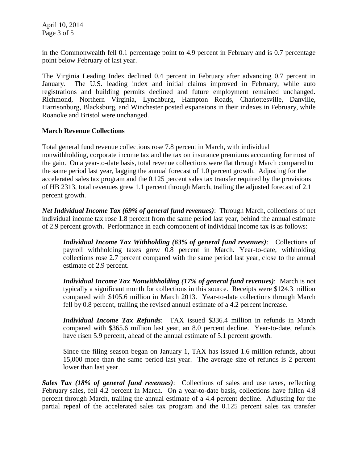April 10, 2014 Page 3 of 5

in the Commonwealth fell 0.1 percentage point to 4.9 percent in February and is 0.7 percentage point below February of last year.

The Virginia Leading Index declined 0.4 percent in February after advancing 0.7 percent in January. The U.S. leading index and initial claims improved in February, while auto registrations and building permits declined and future employment remained unchanged. Richmond, Northern Virginia, Lynchburg, Hampton Roads, Charlottesville, Danville, Harrisonburg, Blacksburg, and Winchester posted expansions in their indexes in February, while Roanoke and Bristol were unchanged.

### **March Revenue Collections**

Total general fund revenue collections rose 7.8 percent in March, with individual nonwithholding, corporate income tax and the tax on insurance premiums accounting for most of the gain. On a year-to-date basis, total revenue collections were flat through March compared to the same period last year, lagging the annual forecast of 1.0 percent growth. Adjusting for the accelerated sales tax program and the 0.125 percent sales tax transfer required by the provisions of HB 2313, total revenues grew 1.1 percent through March, trailing the adjusted forecast of 2.1 percent growth.

*Net Individual Income Tax (69% of general fund revenues)*: Through March, collections of net individual income tax rose 1.8 percent from the same period last year, behind the annual estimate of 2.9 percent growth. Performance in each component of individual income tax is as follows:

*Individual Income Tax Withholding (63% of general fund revenues)*: Collections of payroll withholding taxes grew 0.8 percent in March. Year-to-date, withholding collections rose 2.7 percent compared with the same period last year, close to the annual estimate of 2.9 percent.

*Individual Income Tax Nonwithholding (17% of general fund revenues)*: March is not typically a significant month for collections in this source. Receipts were \$124.3 million compared with \$105.6 million in March 2013. Year-to-date collections through March fell by 0.8 percent, trailing the revised annual estimate of a 4.2 percent increase.

*Individual Income Tax Refunds*: TAX issued \$336.4 million in refunds in March compared with \$365.6 million last year, an 8.0 percent decline. Year-to-date, refunds have risen 5.9 percent, ahead of the annual estimate of 5.1 percent growth.

Since the filing season began on January 1, TAX has issued 1.6 million refunds, about 15,000 more than the same period last year. The average size of refunds is 2 percent lower than last year.

*Sales Tax (18% of general fund revenues)*: Collections of sales and use taxes, reflecting February sales, fell 4.2 percent in March. On a year-to-date basis, collections have fallen 4.8 percent through March, trailing the annual estimate of a 4.4 percent decline. Adjusting for the partial repeal of the accelerated sales tax program and the 0.125 percent sales tax transfer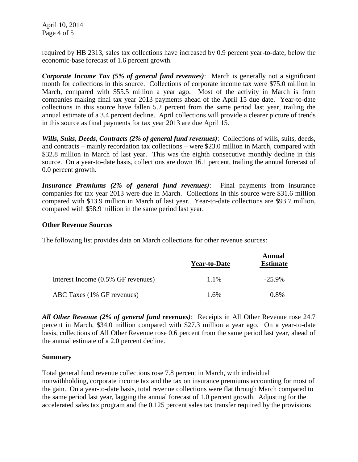April 10, 2014 Page 4 of 5

required by HB 2313, sales tax collections have increased by 0.9 percent year-to-date, below the economic-base forecast of 1.6 percent growth.

*Corporate Income Tax (5% of general fund revenues)*: March is generally not a significant month for collections in this source. Collections of corporate income tax were \$75.0 million in March, compared with \$55.5 million a year ago. Most of the activity in March is from companies making final tax year 2013 payments ahead of the April 15 due date. Year-to-date collections in this source have fallen 5.2 percent from the same period last year, trailing the annual estimate of a 3.4 percent decline. April collections will provide a clearer picture of trends in this source as final payments for tax year 2013 are due April 15.

*Wills, Suits, Deeds, Contracts (2% of general fund revenues)*: Collections of wills, suits, deeds, and contracts – mainly recordation tax collections – were \$23.0 million in March, compared with \$32.8 million in March of last year. This was the eighth consecutive monthly decline in this source. On a year-to-date basis, collections are down 16.1 percent, trailing the annual forecast of 0.0 percent growth.

*Insurance Premiums (2% of general fund revenues)*: Final payments from insurance companies for tax year 2013 were due in March. Collections in this source were \$31.6 million compared with \$13.9 million in March of last year. Year-to-date collections are \$93.7 million, compared with \$58.9 million in the same period last year.

#### **Other Revenue Sources**

The following list provides data on March collections for other revenue sources:

|                                    | <b>Year-to-Date</b> | Annual<br><b>Estimate</b> |
|------------------------------------|---------------------|---------------------------|
| Interest Income (0.5% GF revenues) | 1.1%                | $-25.9\%$                 |
| ABC Taxes (1% GF revenues)         | 1.6%                | $0.8\%$                   |

*All Other Revenue (2% of general fund revenues)*: Receipts in All Other Revenue rose 24.7 percent in March, \$34.0 million compared with \$27.3 million a year ago. On a year-to-date basis, collections of All Other Revenue rose 0.6 percent from the same period last year, ahead of the annual estimate of a 2.0 percent decline.

#### **Summary**

Total general fund revenue collections rose 7.8 percent in March, with individual nonwithholding, corporate income tax and the tax on insurance premiums accounting for most of the gain. On a year-to-date basis, total revenue collections were flat through March compared to the same period last year, lagging the annual forecast of 1.0 percent growth. Adjusting for the accelerated sales tax program and the 0.125 percent sales tax transfer required by the provisions